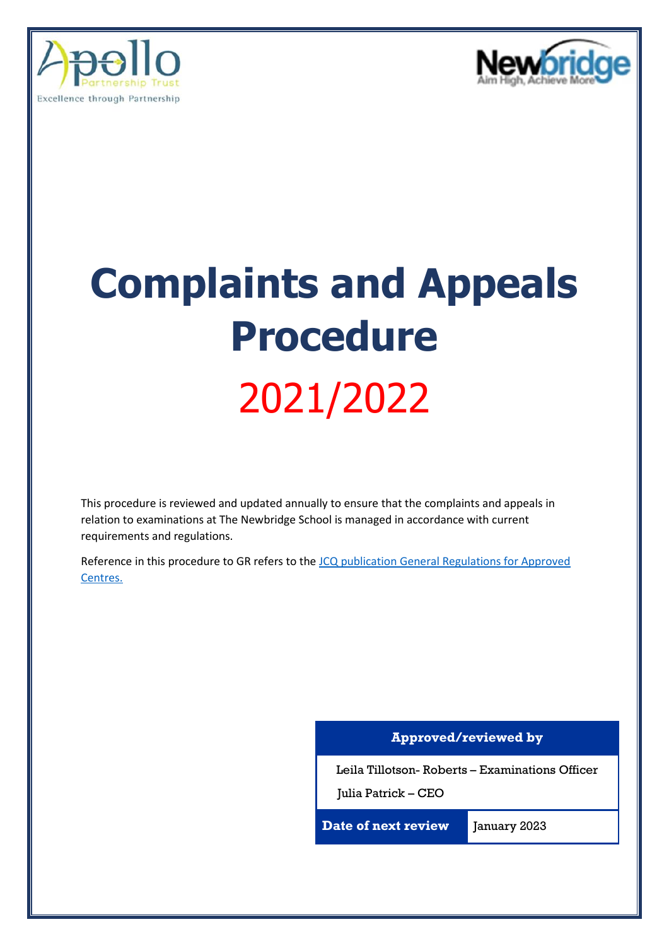



# **Complaints and Appeals Procedure** 2021/2022

This procedure is reviewed and updated annually to ensure that the complaints and appeals in relation to examinations at The Newbridge School is managed in accordance with current requirements and regulations.

Reference in this procedure to GR refers to the [JCQ publication General Regulations for Approved](https://www.jcq.org.uk/wp-content/uploads/2022/01/Gen_regs_approved_centres_21-22_FINAL.pdf)  [Centres.](https://www.jcq.org.uk/wp-content/uploads/2022/01/Gen_regs_approved_centres_21-22_FINAL.pdf)

### **Approved/reviewed by**

Leila Tillotson- Roberts – Examinations Officer

Julia Patrick – CEO

**Date of next review** January 2023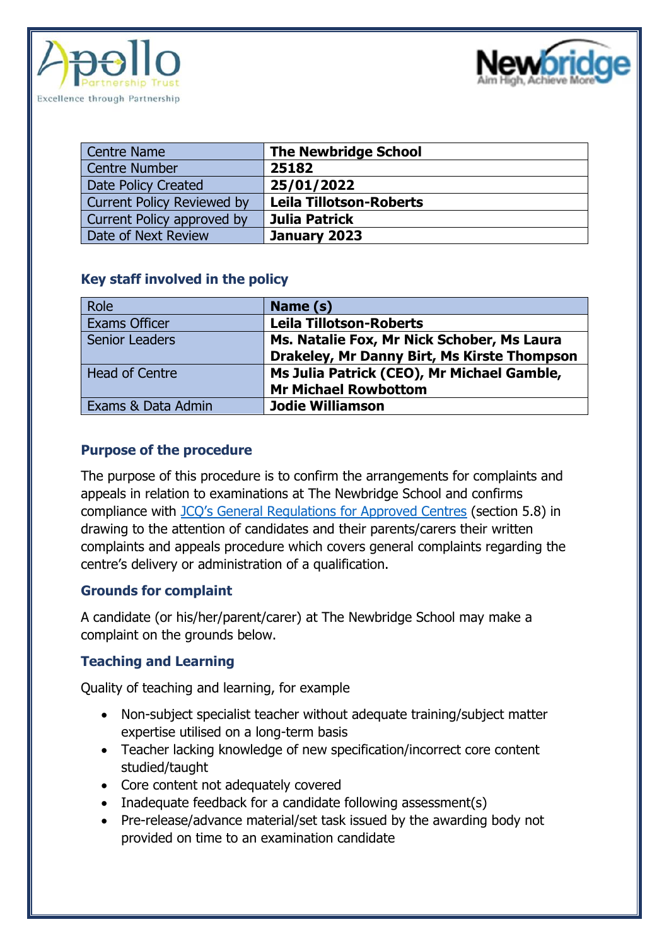



| <b>Centre Name</b>                | <b>The Newbridge School</b>    |
|-----------------------------------|--------------------------------|
| <b>Centre Number</b>              | 25182                          |
| Date Policy Created               | 25/01/2022                     |
| <b>Current Policy Reviewed by</b> | <b>Leila Tillotson-Roberts</b> |
| Current Policy approved by        | Julia Patrick                  |
| Date of Next Review               | January 2023                   |

## **Key staff involved in the policy**

| Role                  | Name (s)                                    |
|-----------------------|---------------------------------------------|
| <b>Exams Officer</b>  | <b>Leila Tillotson-Roberts</b>              |
| <b>Senior Leaders</b> | Ms. Natalie Fox, Mr Nick Schober, Ms Laura  |
|                       | Drakeley, Mr Danny Birt, Ms Kirste Thompson |
| <b>Head of Centre</b> | Ms Julia Patrick (CEO), Mr Michael Gamble,  |
|                       | <b>Mr Michael Rowbottom</b>                 |
| Exams & Data Admin    | <b>Jodie Williamson</b>                     |

## **Purpose of the procedure**

The purpose of this procedure is to confirm the arrangements for complaints and appeals in relation to examinations at The Newbridge School and confirms compliance with [JCQ's General Regulations for Approved Centres](https://www.jcq.org.uk/wp-content/uploads/2022/01/Gen_regs_approved_centres_21-22_FINAL.pdf) (section 5.8) in drawing to the attention of candidates and their parents/carers their written complaints and appeals procedure which covers general complaints regarding the centre's delivery or administration of a qualification.

# **Grounds for complaint**

A candidate (or his/her/parent/carer) at The Newbridge School may make a complaint on the grounds below.

# **Teaching and Learning**

Quality of teaching and learning, for example

- Non-subject specialist teacher without adequate training/subject matter expertise utilised on a long-term basis
- Teacher lacking knowledge of new specification/incorrect core content studied/taught
- Core content not adequately covered
- Inadequate feedback for a candidate following assessment(s)
- Pre-release/advance material/set task issued by the awarding body not provided on time to an examination candidate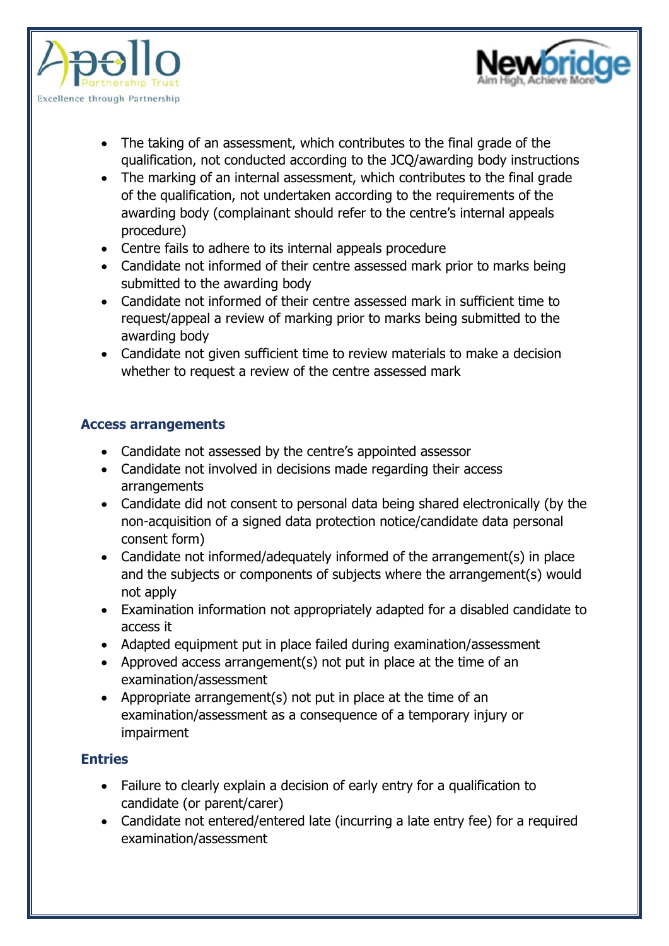



- The taking of an assessment, which contributes to the final grade of the qualification, not conducted according to the JCQ/awarding body instructions
- The marking of an internal assessment, which contributes to the final grade of the qualification, not undertaken according to the requirements of the awarding body (complainant should refer to the centre's internal appeals procedure)
- Centre fails to adhere to its internal appeals procedure
- Candidate not informed of their centre assessed mark prior to marks being submitted to the awarding body
- Candidate not informed of their centre assessed mark in sufficient time to request/appeal a review of marking prior to marks being submitted to the awarding body
- Candidate not given sufficient time to review materials to make a decision whether to request a review of the centre assessed mark

# **Access arrangements**

- Candidate not assessed by the centre's appointed assessor
- Candidate not involved in decisions made regarding their access arrangements
- Candidate did not consent to personal data being shared electronically (by the non-acquisition of a signed data protection notice/candidate data personal consent form)
- Candidate not informed/adequately informed of the arrangement(s) in place and the subjects or components of subjects where the arrangement(s) would not apply
- Examination information not appropriately adapted for a disabled candidate to access it
- Adapted equipment put in place failed during examination/assessment
- Approved access arrangement(s) not put in place at the time of an examination/assessment
- Appropriate arrangement(s) not put in place at the time of an examination/assessment as a consequence of a temporary injury or impairment

# **Entries**

- Failure to clearly explain a decision of early entry for a qualification to candidate (or parent/carer)
- Candidate not entered/entered late (incurring a late entry fee) for a required examination/assessment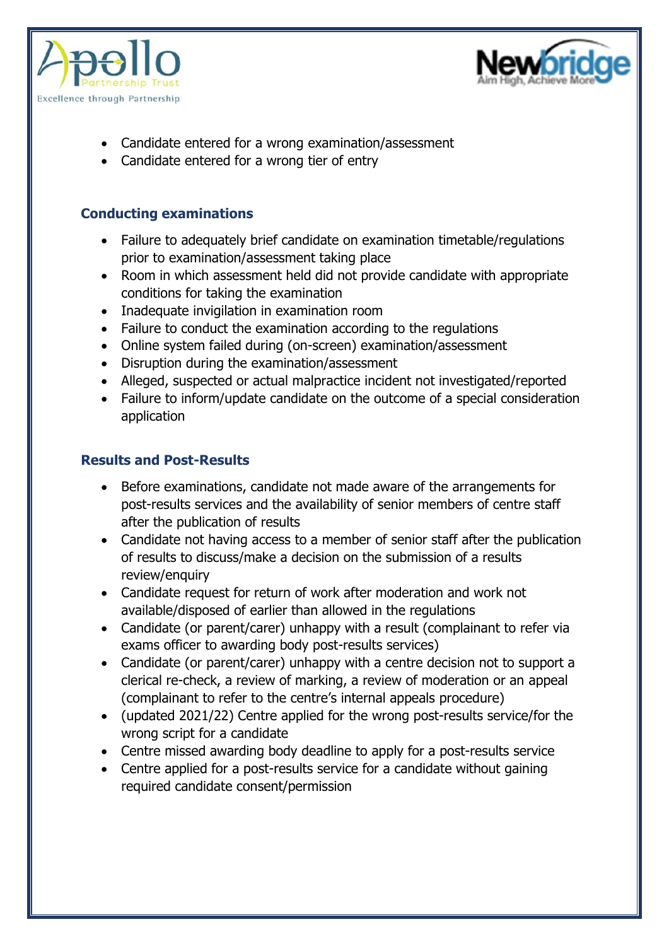



- Candidate entered for a wrong examination/assessment
- Candidate entered for a wrong tier of entry

# **Conducting examinations**

- Failure to adequately brief candidate on examination timetable/regulations prior to examination/assessment taking place
- Room in which assessment held did not provide candidate with appropriate conditions for taking the examination
- Inadequate invigilation in examination room
- Failure to conduct the examination according to the regulations
- Online system failed during (on-screen) examination/assessment
- Disruption during the examination/assessment
- Alleged, suspected or actual malpractice incident not investigated/reported
- Failure to inform/update candidate on the outcome of a special consideration application

# **Results and Post-Results**

- Before examinations, candidate not made aware of the arrangements for post-results services and the availability of senior members of centre staff after the publication of results
- Candidate not having access to a member of senior staff after the publication of results to discuss/make a decision on the submission of a results review/enquiry
- Candidate request for return of work after moderation and work not available/disposed of earlier than allowed in the regulations
- Candidate (or parent/carer) unhappy with a result (complainant to refer via exams officer to awarding body post-results services)
- Candidate (or parent/carer) unhappy with a centre decision not to support a clerical re-check, a review of marking, a review of moderation or an appeal (complainant to refer to the centre's internal appeals procedure)
- (updated 2021/22) Centre applied for the wrong post-results service/for the wrong script for a candidate
- Centre missed awarding body deadline to apply for a post-results service
- Centre applied for a post-results service for a candidate without gaining required candidate consent/permission